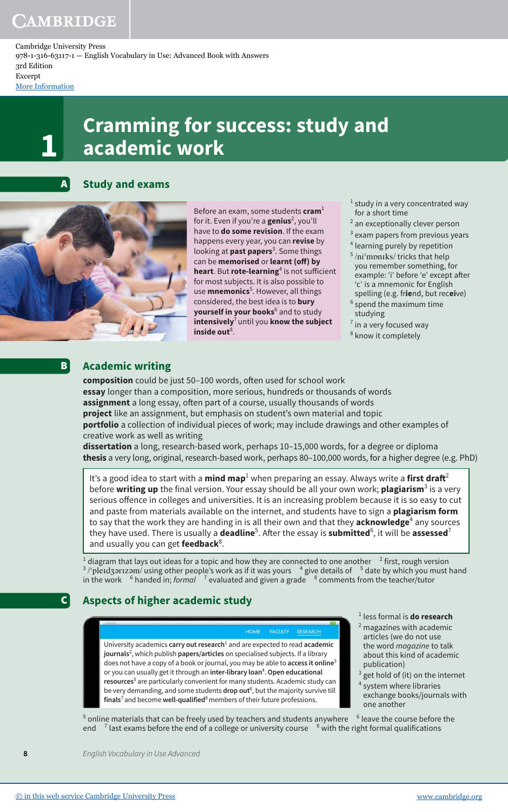Cambridge University Press 978-1-316-63117-1 — English Vocabulary in Use: Advanced Book with Answers 3rd Edition Excerpt

[More Information](www.cambridge.org/9781316631171)

# **Cramming for success: study and 1 academic work**



**Study and exams**



**B** 

C

Before an exam, some students **cram**<sup>1</sup> for it. Even if you're a **genius**<sup>2</sup> , you'll have to **do some revision**. If the exam happens every year, you can **revise** by looking at **past papers**<sup>3</sup> . Some things can be **memorised** or **learnt** (off) by **heart**. But **rote-learning**<sup>4</sup> is not sufficient for most subjects. It is also possible to use **mnemonics**<sup>5</sup> . However, all things considered, the best idea is to **bury yourself in your books**<sup>6</sup> and to study **intensively**<sup>7</sup>until you **know the subject**  inside out $8$ .

 $<sup>1</sup>$  study in a very concentrated way</sup> for a short time

- <sup>2</sup> an exceptionally clever person
- $3$  exam papers from previous years 4 learning purely by repetition
- 5 /niˈmɒnɪks/ tricks that help you remember something, for example: 'i' before 'e' except after 'c' is a mnemonic for English spelling (e.g. fr**ie**nd, but rec**ei**ve) <sup>6</sup> spend the maximum time
- studying  $<sup>7</sup>$  in a very focused way</sup>
- <sup>8</sup> know it completely

## **Academic writing**

**composition** could be just 50-100 words, often used for school work **essay** longer than a composition, more serious, hundreds or thousands of words assignment a long essay, often part of a course, usually thousands of words **project** like an assignment, but emphasis on student's own material and topic **portfolio** a collection of individual pieces of work; may include drawings and other examples of creative work as well as writing

**dissertation** a long, research-based work, perhaps 10–15,000 words, for a degree or diploma **thesis** a very long, original, research-based work, perhaps 80–100,000 words, for a higher degree (e.g. PhD)

It's a good idea to start with a **mind map**<sup>1</sup> when preparing an essay. Always write a **first draft**<sup>2</sup> before **writing up** the final version. Your essay should be all your own work; **plagiarism**<sup>3</sup> is a very serious offence in colleges and universities. It is an increasing problem because it is so easy to cut and paste from materials available on the internet, and students have to sign a **plagiarism form** to say that the work they are handing in is all their own and that they **acknowledge**<sup>4</sup> any sources they have used. There is usually a **deadline**<sup>5</sup>. After the essay is **submitted**<sup>6</sup>, it will be **assessed<sup>7</sup>** and usually you can get **feedback**<sup>8</sup>.

1 diagram that lays out ideas for a topic and how they are connected to one another <sup>2</sup> first, rough version <sup>3</sup>/'pleɪdʒərɪzəm/ using other people's work as if it was yours  $^{-4}$  give details of  $^{-5}$  date by which you must hand in the work  $\,$ <sup>6</sup> handed in; *formal*  $\,$ <sup>7</sup> evaluated and given a grade  $\,$ <sup>8</sup> <sup>8</sup> comments from the teacher/tutor

## **Aspects of higher academic study**

HOME FACULTY RESEARCH

University academics **carry out research**<sup>1</sup> and are expected to read academic **journals**<sup>2</sup> , which publish **papers/articles** on specialised subjects. If a library does not have a copy of a book or journal, you may be able to **access it online**<sup>3</sup> or you can usually get it through an **inter-library loan**<sup>4</sup> . **Open educational resources**<sup>5</sup> are particularly convenient for many students. Academic study can be very demanding, and some students **drop out**<sup>6</sup>, but the majority survive till finals<sup>7</sup> and become well-qualified<sup>8</sup> members of their future professions.

- 1 less formal is **do research**
- <sup>2</sup> magazines with academic articles (we do not use the word *magazine* to talk about this kind of academic publication)
- $3$  get hold of (it) on the internet<br> $4$  system where libraries system where libraries
- exchange books/journals with one another

 $^5$  online materials that can be freely used by teachers and students anywhere  $^{-6}$  leave the course before the end <sup>7</sup> last exams before the end of a college or university course <sup>8</sup> with the right formal qualifications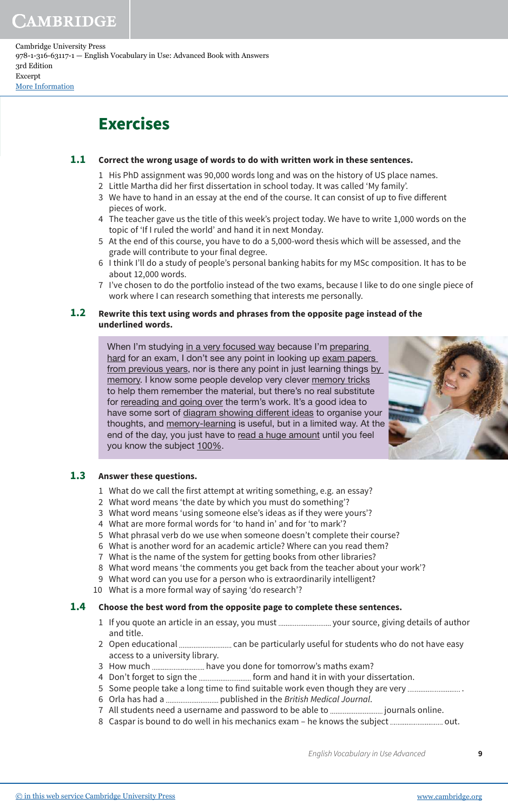Cambridge University Press 978-1-316-63117-1 — English Vocabulary in Use: Advanced Book with Answers 3rd Edition Excerpt [More Information](www.cambridge.org/9781316631171)

## **Exercises**

#### **Correct the wrong usage of words to do with written work in these sentences. 1.1**

- 1 His PhD assignment was 90,000 words long and was on the history of US place names.
- 2 Little Martha did her first dissertation in school today. It was called 'My family'.
- 3 We have to hand in an essay at the end of the course. It can consist of up to five diferent pieces of work.
- 4 The teacher gave us the title of this week's project today. We have to write 1,000 words on the topic of 'If I ruled the world' and hand it in next Monday.
- 5 At the end of this course, you have to do a 5,000-word thesis which will be assessed, and the grade will contribute to your final degree.
- 6 I think I'll do a study of people's personal banking habits for my MSc composition. It has to be about 12,000 words.
- 7 I've chosen to do the portfolio instead of the two exams, because I like to do one single piece of work where I can research something that interests me personally.

#### **Rewrite this text using words and phrases from the opposite page instead of the underlined words. 1.2**

When I'm studying in a very focused way because I'm preparing hard for an exam, I don't see any point in looking up exam papers from previous years, nor is there any point in just learning things by memory. I know some people develop very clever memory tricks to help them remember the material, but there's no real substitute for rereading and going over the term's work. It's a good idea to have some sort of diagram showing different ideas to organise your thoughts, and memory-learning is useful, but in a limited way. At the end of the day, you just have to read a huge amount until you feel you know the subject 100%.



#### **Answer these questions. 1.3**

- 1 What do we call the first attempt at writing something, e.g. an essay?
- 2 What word means 'the date by which you must do something'?
- 3 What word means 'using someone else's ideas as if they were yours'?
- 4 What are more formal words for 'to hand in' and for 'to mark'?
- 5 What phrasal verb do we use when someone doesn't complete their course?
- 6 What is another word for an academic article? Where can you read them?
- 7 What is the name of the system for getting books from other libraries?
- 8 What word means 'the comments you get back from the teacher about your work'?
- 9 What word can you use for a person who is extraordinarily intelligent?
- 10 What is a more formal way of saying 'do research'?

#### **Choose the best word from the opposite page to complete these sentences. 1.4**

- 1 If you quote an article in an essay, you must your source, giving details of author and title.
- 2 Open educational can be particularly useful for students who do not have easy access to a university library.
- 3 How much ............................... have you done for tomorrow's maths exam?
- 4 Don't forget to sign the ............................. form and hand it in with your dissertation.
- 5 Some people take a long time to find suitable work even though they are very ..............................
- 6 Orla has had a published in the British Medical Journal.
- 7 All students need a username and password to be able to journals online.
- 8 Caspar is bound to do well in his mechanics exam he knows the subject out.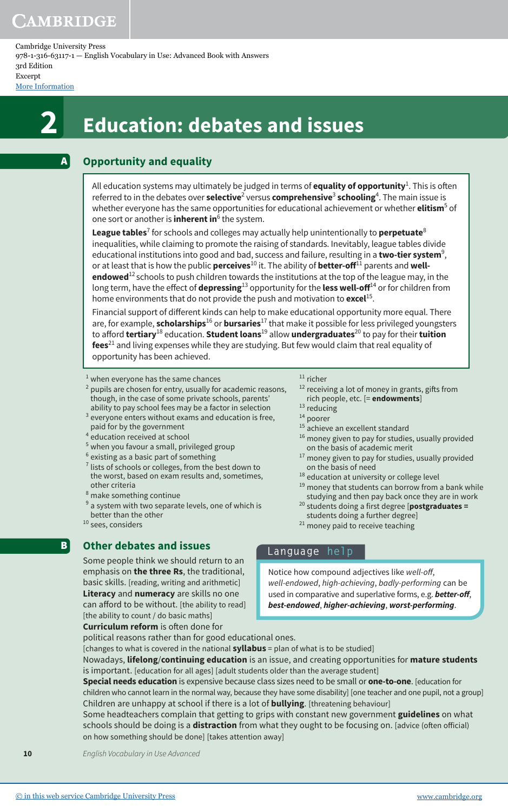A

Cambridge University Press 978-1-316-63117-1 — English Vocabulary in Use: Advanced Book with Answers 3rd Edition Excerpt

[More Information](www.cambridge.org/9781316631171)

# **2 Education: debates and issues**

## **Opportunity and equality**

All education systems may ultimately be judged in terms of **equality of opportunity**<sup>1</sup>. This is often referred to in the debates over **selective<sup>2</sup> versus <b>comprehensive**<sup>3</sup> schooling<sup>4</sup>. The main issue is whether everyone has the same opportunities for educational achievement or whether **elitism**<sup>5</sup> of one sort or another is **inherent in**<sup>6</sup> the system.

**League tables**<sup>7</sup> for schools and colleges may actually help unintentionally to **perpetuate**<sup>8</sup> inequalities, while claiming to promote the raising of standards. Inevitably, league tables divide educational institutions into good and bad, success and failure, resulting in a **two-tier system**<sup>9</sup>, or at least that is how the public **perceives**10 it. The ability of **better-of**11 parents and **wellendowed**12 schools to push children towards the institutions at the top of the league may, in the long term, have the efect of **depressing**13 opportunity for the **less well-of**14 or for children from home environments that do not provide the push and motivation to **excel**<sup>15</sup> .

Financial support of diferent kinds can help to make educational opportunity more equal. There are, for example, **scholarships**16 or **bursaries**17 that make it possible for less privileged youngsters to aford **tertiary**18 education. **Student loans**19 allow **undergraduates**20 to pay for their **tuition fees**<sup>21</sup> and living expenses while they are studying. But few would claim that real equality of opportunity has been achieved.

- $<sup>1</sup>$  when everyone has the same chances</sup>
- 2 pupils are chosen for entry, usually for academic reasons, though, in the case of some private schools, parents' ability to pay school fees may be a factor in selection
- $3$  everyone enters without exams and education is free, paid for by the government
- 4 education received at school
- 5 when you favour a small, privileged group
- 6 existing as a basic part of something
- $7$  lists of schools or colleges, from the best down to the worst, based on exam results and, sometimes, other criteria
- 8 make something continue
- $9$  a system with two separate levels, one of which is better than the other
- <sup>10</sup> sees, considers

**B** 

## **Other debates and issues**

Some people think we should return to an emphasis on **the three Rs**, the traditional, basic skills. [reading, writing and arithmetic] **Literacy** and **numeracy** are skills no one can afford to be without. [the ability to read] [the ability to count / do basic maths]

<sup>13</sup> reducing <sup>14</sup> poorer

 $11$  richer

- <sup>15</sup> achieve an excellent standard
- <sup>16</sup> money given to pay for studies, usually provided on the basis of academic merit

<sup>12</sup> receiving a lot of money in grants, gifts from rich people, etc. [= **endowments**]

- <sup>17</sup> money given to pay for studies, usually provided on the basis of need
- <sup>18</sup> education at university or college level
- <sup>19</sup> money that students can borrow from a bank while studying and then pay back once they are in work
- <sup>20</sup> students doing a first degree [**postgraduates =** students doing a further degree]
- <sup>21</sup> money paid to receive teaching

**Language help**

Notice how compound adjectives like well-of, well-endowed, high-achieving, badly-performing can be used in comparative and superlative forms, e.g. **better-of**, **best-endowed**, **higher-achieving**, **worst-performing**.

**Curriculum reform** is often done for

political reasons rather than for good educational ones. [changes to what is covered in the national **syllabus** = plan of what is to be studied] Nowadays, **lifelong**/**continuing education** is an issue, and creating opportunities for **mature students**  is important. [education for all ages] [adult students older than the average student] **Special needs education** is expensive because class sizes need to be small or **one-to-one**. [education for children who cannot learn in the normal way, because they have some disability] [one teacher and one pupil, not a group] Children are unhappy at school if there is a lot of **bullying**. [threatening behaviour] Some headteachers complain that getting to grips with constant new government **guidelines** on what

schools should be doing is a **distraction** from what they ought to be focusing on. [advice (oten oficial) on how something should be done] [takes attention away]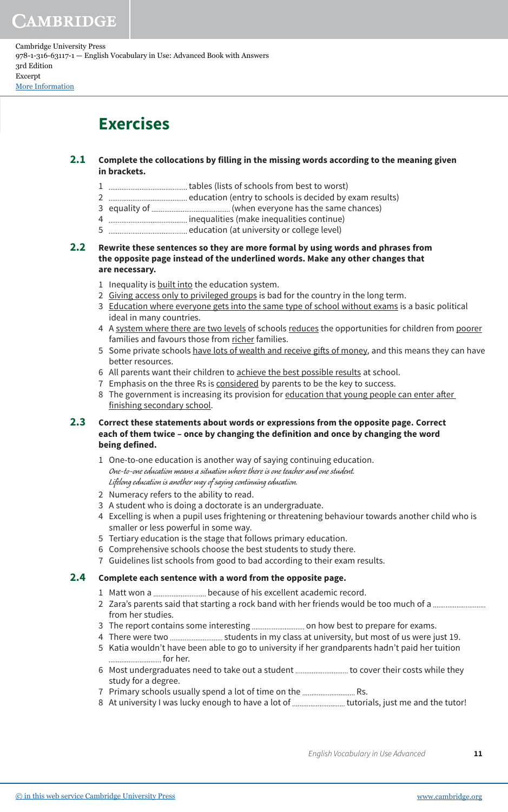Cambridge University Press 978-1-316-63117-1 — English Vocabulary in Use: Advanced Book with Answers 3rd Edition Excerpt [More Information](www.cambridge.org/9781316631171)

## **Exercises**

#### **Complete the collocations by filling in the missing words according to the meaning given in brackets. 2.1**

- 1 tables (lists of schools from best to worst)
- 2 education (entry to schools is decided by exam results)
- 3 equality of (when everyone has the same chances)
- 4 inequalities (make inequalities continue)
- 5 education (at university or college level)
- **Rewrite these sentences so they are more formal by using words and phrases from the opposite page instead of the underlined words. Make any other changes that are necessary. 2.2**
	- 1 Inequality is built into the education system.
	- 2 Giving access only to privileged groups is bad for the country in the long term.
	- 3 Education where everyone gets into the same type of school without exams is a basic political ideal in many countries.
	- 4 A system where there are two levels of schools reduces the opportunities for children from poorer families and favours those from richer families.
	- 5 Some private schools have lots of wealth and receive gifts of money, and this means they can have better resources.
	- 6 All parents want their children to achieve the best possible results at school.
	- 7 Emphasis on the three Rs is considered by parents to be the key to success.
	- 8 The government is increasing its provision for education that young people can enter after finishing secondary school.

#### **Correct these statements about words or expressions from the opposite page. Correct each of them twice – once by changing the definition and once by changing the word being defined. 2.3**

- 1 One-to-one education is another way of saying continuing education. One-to-one education means a situation where there is one teacher and one student. Lifelong education is another way of saying continuing education.
- 2 Numeracy refers to the ability to read.
- 3 A student who is doing a doctorate is an undergraduate.
- 4 Excelling is when a pupil uses frightening or threatening behaviour towards another child who is smaller or less powerful in some way.
- 5 Tertiary education is the stage that follows primary education.
- 6 Comprehensive schools choose the best students to study there.
- 7 Guidelines list schools from good to bad according to their exam results.

#### **Complete each sentence with a word from the opposite page. 2.4**

- 1 Matt won a ................................ because of his excellent academic record.
- 2 Zara's parents said that starting a rock band with her friends would be too much of a from her studies.
- 3 The report contains some interesting ................................ on how best to prepare for exams.
- 4 There were two ............................ students in my class at university, but most of us were just 19.
- 5 Katia wouldn't have been able to go to university if her grandparents hadn't paid her tuition .............................. for her.
- 6 Most undergraduates need to take out a student ................................ to cover their costs while they study for a degree.
- 7 Primary schools usually spend a lot of time on the ............................. Rs.
- 8 At university I was lucky enough to have a lot of tutorials, just me and the tutor!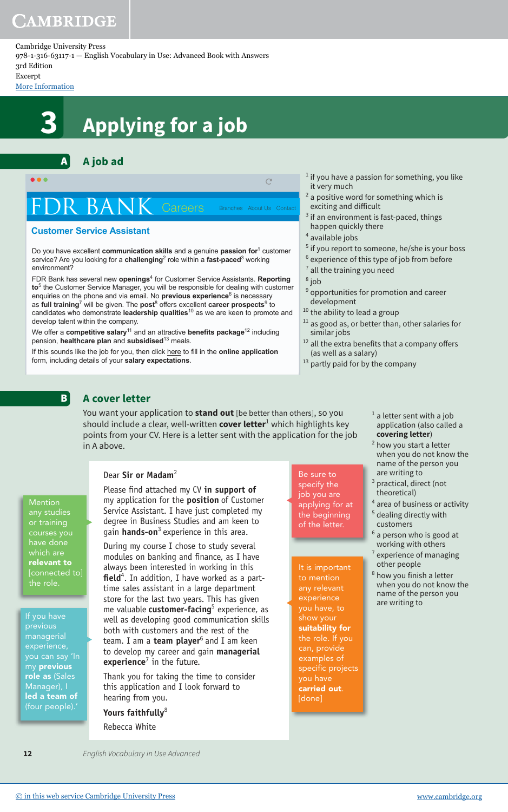### Cambridge University Press

978-1-316-63117-1 — English Vocabulary in Use: Advanced Book with Answers 3rd Edition

### Excerpt

[More Information](www.cambridge.org/9781316631171)

# **3 Applying for a job**

#### **A job ad** A

n a  $\overline{C}$ Careers Branches About Us Conta

### **Customer Service Assistant**

Do you have excellent **communication skills** and a genuine **passion for**<sup>1</sup> customer service? Are you looking for a **challenging**<sup>2</sup> role within a **fast-paced**<sup>3</sup> working environment?

FDR Bank has several new **openings**<sup>4</sup> for Customer Service Assistants. **Reporting to**<sup>5</sup> the Customer Service Manager, you will be responsible for dealing with customer enquiries on the phone and via email. No **previous experience**<sup>6</sup> is necessary as full training<sup>7</sup> will be given. The post<sup>8</sup> offers excellent career prospects<sup>9</sup> to candidates who demonstrate **leadership qualities** <sup>10</sup> as we are keen to promote and develop talent within the company.

We offer a **competitive salary**<sup>11</sup> and an attractive **benefits package**<sup>12</sup> including pension, **healthcare plan** and **subsidised**<sup>13</sup> meals.

If this sounds like the job for you, then click here to fill in the **online application** form, including details of your **salary expectations**.

- if you have a passion for something, you like it very much
- <sup>2</sup> a positive word for something which is exciting and difficult
- if an environment is fast-paced, things happen quickly there
- <sup>4</sup> available jobs
- <sup>5</sup> if you report to someone, he/she is your boss
- $6$  experience of this type of job from before
- $<sup>7</sup>$  all the training you need</sup>
- <sup>8</sup> job
- $9$  opportunities for promotion and career development
- <sup>10</sup> the ability to lead a group
- $11$  as good as, or better than, other salaries for similar jobs
- $12$  all the extra benefits that a company offers (as well as a salary)
- <sup>13</sup> partly paid for by the company

#### **A cover letter B**

You want your application to **stand out** [be better than others], so you should include a clear, well-written **cover letter**<sup>1</sup> which highlights key points from your CV. Here is a letter sent with the application for the job in A above.

## **Mention** any studies relevant to connected to] .<br>the role.

previous managerial my previous role as (Sales Manager), I led a team of

### Dear **Sir or Madam**<sup>2</sup>

Please find attached my CV in support of my application for the **position** of Customer Service Assistant. I have just completed my degree in Business Studies and am keen to gain **hands-on**<sup>3</sup> experience in this area.

During my course I chose to study several modules on banking and finance, as I have always been interested in working in this field<sup>4</sup>. In addition, I have worked as a parttime sales assistant in a large department store for the last two years. This has given me valuable **customer-facing**<sup>5</sup> experience, as well as developing good communication skills both with customers and the rest of the team. I am a **team player**<sup>6</sup> and I am keen to develop my career and gain **managerial**  experience<sup>7</sup> in the future.

Thank you for taking the time to consider this application and I look forward to hearing from you.

### **Yours faithfully**<sup>8</sup>

Rebecca White

Be sure to specify the job you are applying for at the beginning of the letter.

### It is important to mention

any relevant experience you have, to show your suitability for the role. If you can, provide examples of specific projects you have carried out. [done]

- $1$  a letter sent with a job application (also called a **covering letter**)
- <sup>2</sup> how you start a letter when you do not know the name of the person you are writing to
- <sup>3</sup> practical, direct (not theoretical)
- 4 area of business or activity
- <sup>5</sup> dealing directly with customers
- <sup>6</sup> a person who is good at working with others
- $7$  experience of managing other people
- 8 how you finish a letter when you do not know the name of the person you are writing to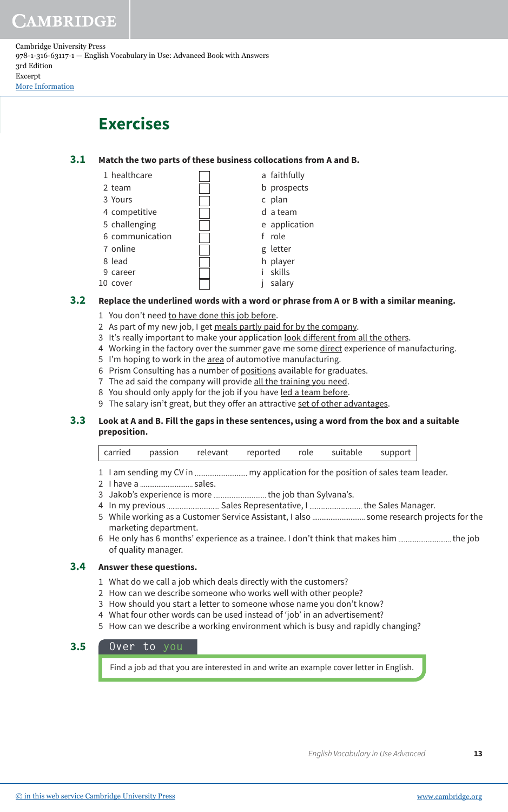Cambridge University Press 978-1-316-63117-1 — English Vocabulary in Use: Advanced Book with Answers 3rd Edition Excerpt [More Information](www.cambridge.org/9781316631171)

## **Exercises**

#### **Match the two parts of these business collocations from A and B. 3.1**

|    | 1 healthcare    |  | a faithfully  |
|----|-----------------|--|---------------|
|    | 2 team          |  | b prospects   |
|    | 3 Yours         |  | c plan        |
|    | 4 competitive   |  | d a team      |
|    | 5 challenging   |  | e application |
|    | 6 communication |  | f role        |
|    | 7 online        |  | g letter      |
|    | 8 lead          |  | h player      |
|    | 9 career        |  | skills        |
| 10 | cover           |  | salary        |
|    |                 |  |               |

#### **Replace the underlined words with a word or phrase from A or B with a similar meaning. 3.2**

- 1 You don't need to have done this job before.
- 2 As part of my new job, I get meals partly paid for by the company.
- 3 It's really important to make your application <u>look different from all the others</u>.
- 4 Working in the factory over the summer gave me some direct experience of manufacturing.
- 5 I'm hoping to work in the area of automotive manufacturing.
- 6 Prism Consulting has a number of positions available for graduates.
- 7 The ad said the company will provide all the training you need.
- 8 You should only apply for the job if you have led a team before.
- 9 The salary isn't great, but they offer an attractive set of other advantages.

#### **Look at A and B. Fill the gaps in these sentences, using a word from the box and a suitable preposition. 3.3**

| carried | passion . | relevant reported role suitable support |  |  |
|---------|-----------|-----------------------------------------|--|--|
|         |           |                                         |  |  |

- 1 I am sending my CV in my application for the position of sales team leader.
- 2 I have a ............................. sales.
- 3 Jakob's experience is more .............................. the job than Sylvana's.
- 4 In my previous Sales Representative, I the Sales Manager.
- 5 While working as a Customer Service Assistant, I also .............................. some research projects for the marketing department.
- 6 He only has 6 months' experience as a trainee. I don't think that makes him ............................. the job of quality manager.

#### **Answer these questions. 3.4**

- 1 What do we call a job which deals directly with the customers?
- 2 How can we describe someone who works well with other people?
- 3 How should you start a letter to someone whose name you don't know?
- 4 What four other words can be used instead of 'job' in an advertisement?
- 5 How can we describe a working environment which is busy and rapidly changing?

## **3.5 Over to you**

Find a job ad that you are interested in and write an example cover letter in English.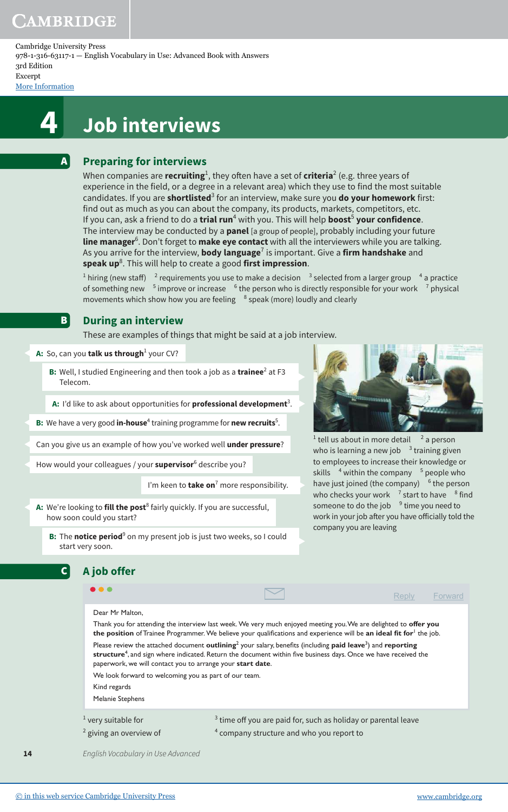A

**B** 

Cambridge University Press 978-1-316-63117-1 — English Vocabulary in Use: Advanced Book with Answers 3rd Edition Excerpt

[More Information](www.cambridge.org/9781316631171)

# **4 Job interviews**

## **Preparing for interviews**

When companies are **recruiting**<sup>1</sup>, they often have a set of **criteria**<sup>2</sup> (e.g. three years of experience in the field, or a degree in a relevant area) which they use to find the most suitable candidates. If you are **shortlisted**<sup>3</sup> for an interview, make sure you **do your homework** first: find out as much as you can about the company, its products, markets, competitors, etc. If you can, ask a friend to do a **trial run<sup>4</sup> with you. This will help <b>boost<sup>5</sup> your confidence**. The interview may be conducted by a **panel** [a group of people], probably including your future **line manager**<sup>6</sup> . Don't forget to **make eye contact** with all the interviewers while you are talking. As you arrive for the interview, **body language**<sup>7</sup> is important. Give a **firm handshake** and **speak up**<sup>8</sup> . This will help to create a good **first impression**.

 $^1$  hiring (new staff)  $^{-2}$  requirements you use to make a decision  $^{-3}$  selected from a larger group  $^{-4}$  a practice of something new <sup>5</sup> improve or increase <sup>6</sup> the person who is directly responsible for your work <sup>7</sup> physical movements which show how you are feeling  $8$  speak (more) loudly and clearly

### **During an interview**

These are examples of things that might be said at a job interview.

**A:** So, can you **talk us through** $^1$  your CV?

**A job offer**

C

**14**

**B:** Well, I studied Engineering and then took a job as a trainee<sup>2</sup> at F3 Telecom.

**A:** I'd like to ask about opportunities for **professional development**<sup>3</sup> .

**B:** We have a very good **in-house**<sup>4</sup> training programme for **new recruits**<sup>5</sup>.

Can you give us an example of how you've worked well **under pressure**?

How would your colleagues / your **supervisor**<sup>6</sup> describe you?

I'm keen to **take on**<sup>7</sup> more responsibility.

**A:** We're looking to **fill the post**<sup>8</sup> fairly quickly. If you are successful, how soon could you start?

**B:** The **notice period**<sup>9</sup> on my present job is just two weeks, so I could start very soon.



 $<sup>1</sup>$  tell us about in more detail  $<sup>2</sup>$ </sup></sup> <sup>2</sup> a person who is learning a new job  $^{-3}$  training given to employees to increase their knowledge or skills  $^{-4}$  within the company  $^{-5}$  people who have just joined (the company) <sup>6</sup> the person who checks your work  $^{-7}$  start to have  $^{-8}$  find someone to do the job  $^{-9}$  time you need to work in your job after you have officially told the company you are leaving

|                                                                                                                                                                                                                                                                                                                                                                                                           |                                                                  | Reply | Forward |  |  |                  |  |  |  |
|-----------------------------------------------------------------------------------------------------------------------------------------------------------------------------------------------------------------------------------------------------------------------------------------------------------------------------------------------------------------------------------------------------------|------------------------------------------------------------------|-------|---------|--|--|------------------|--|--|--|
| Dear Mr Malton.                                                                                                                                                                                                                                                                                                                                                                                           |                                                                  |       |         |  |  |                  |  |  |  |
| Thank you for attending the interview last week. We very much enjoyed meeting you. We are delighted to offer you<br>the position of Trainee Programmer. We believe your qualifications and experience will be an ideal fit for the job.                                                                                                                                                                   |                                                                  |       |         |  |  |                  |  |  |  |
| Please review the attached document outlining <sup>2</sup> your salary, benefits (including paid leave <sup>3</sup> ) and reporting<br>structure <sup>4</sup> , and sign where indicated. Return the document within five business days. Once we have received the<br>paperwork, we will contact you to arrange your start date.<br>We look forward to welcoming you as part of our team.<br>Kind regards |                                                                  |       |         |  |  |                  |  |  |  |
|                                                                                                                                                                                                                                                                                                                                                                                                           |                                                                  |       |         |  |  | Melanie Stephens |  |  |  |
|                                                                                                                                                                                                                                                                                                                                                                                                           |                                                                  |       |         |  |  |                  |  |  |  |
| $1$ very suitable for                                                                                                                                                                                                                                                                                                                                                                                     | $3$ time off you are paid for, such as holiday or parental leave |       |         |  |  |                  |  |  |  |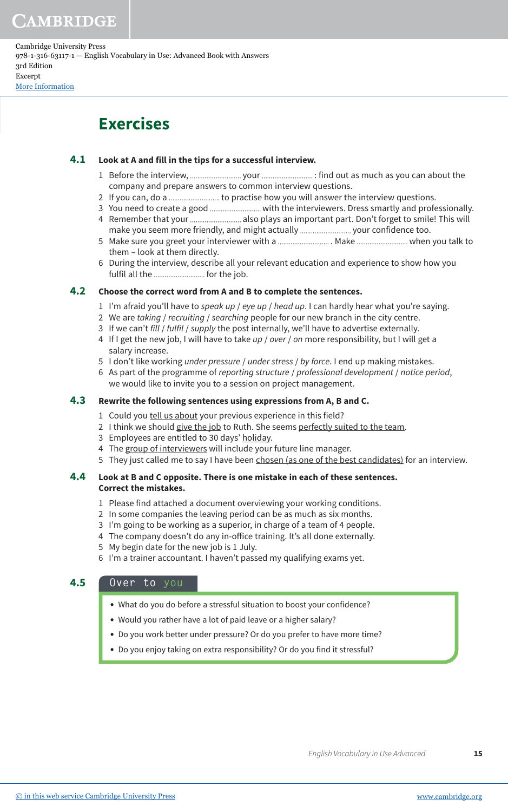Cambridge University Press 978-1-316-63117-1 — English Vocabulary in Use: Advanced Book with Answers 3rd Edition Excerpt [More Information](www.cambridge.org/9781316631171)

## **Exercises**

#### **Look at A and fill in the tips for a successful interview. 4.1**

- 1 Before the interview, your : find out as much as you can about the company and prepare answers to common interview questions.
- 2 If you can, do a to practise how you will answer the interview questions.
- 3 You need to create a good with the interviewers. Dress smartly and professionally.
- 4 Remember that your ............................... also plays an important part. Don't forget to smile! This will make you seem more friendly, and might actually ................................. your confidence too.
- 5 Make sure you greet your interviewer with a . Make when you talk to them – look at them directly.
- 6 During the interview, describe all your relevant education and experience to show how you fulfil all the .............................. for the job.

#### **Choose the correct word from A and B to complete the sentences. 4.2**

- 1 I'm afraid you'll have to speak up / eye up / head up. I can hardly hear what you're saying.
- 2 We are taking / recruiting / searching people for our new branch in the city centre.
- 3 If we can't fill / fulfil / supply the post internally, we'll have to advertise externally.
- 4 If I get the new job, I will have to take up / over / on more responsibility, but I will get a salary increase.
- 5 I don't like working *under pressure / under stress / by force*. I end up making mistakes.
- 6 As part of the programme of reporting structure / professional development / notice period, we would like to invite you to a session on project management.

#### **Rewrite the following sentences using expressions from A, B and C. 4.3**

- 1 Could you tell us about your previous experience in this field?
- 2 I think we should give the job to Ruth. She seems perfectly suited to the team.
- 3 Employees are entitled to 30 days' holiday.
- 4 The group of interviewers will include your future line manager.
- 5 They just called me to say I have been chosen (as one of the best candidates) for an interview.

#### **Look at B and C opposite. There is one mistake in each of these sentences. Correct the mistakes. 4.4**

- 1 Please find attached a document overviewing your working conditions.
- 2 In some companies the leaving period can be as much as six months.
- 3 I'm going to be working as a superior, in charge of a team of 4 people.
- 4 The company doesn't do any in-ofice training. It's all done externally.
- 5 My begin date for the new job is 1 July.
- 6 I'm a trainer accountant. I haven't passed my qualifying exams yet.

### **4.5 Over to you**

- **•** What do you do before a stressful situation to boost your confidence?
- **•** Would you rather have a lot of paid leave or a higher salary?
- **•** Do you work better under pressure? Or do you prefer to have more time?
- **•** Do you enjoy taking on extra responsibility? Or do you find it stressful?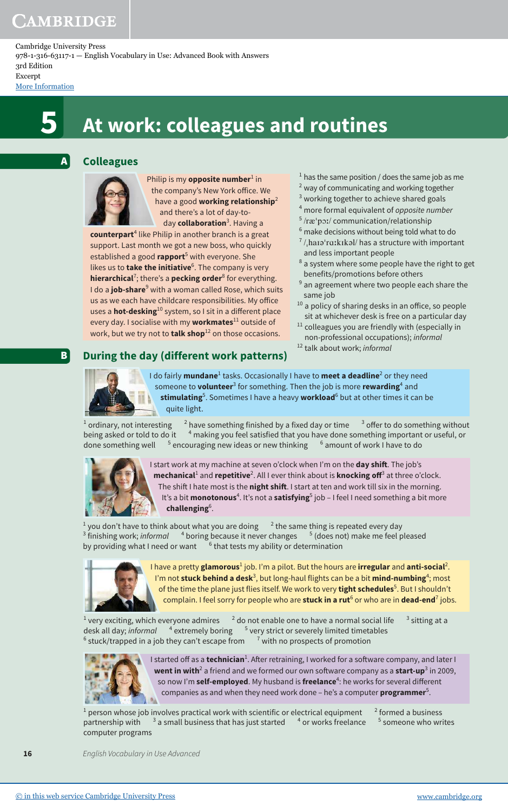Cambridge University Press 978-1-316-63117-1 — English Vocabulary in Use: Advanced Book with Answers 3rd Edition Excerpt

[More Information](www.cambridge.org/9781316631171)

A

B

# **5 At work: colleagues and routines**

## **Colleagues**



Philip is my **opposite number**<sup>1</sup> in the company's New York ofice. We have a good **working relationship**<sup>2</sup> and there's a lot of day-today **collaboration**<sup>3</sup> . Having a

**counterpart**<sup>4</sup> like Philip in another branch is a great support. Last month we got a new boss, who quickly established a good **rapport**<sup>5</sup> with everyone. She likes us to **take the initiative**<sup>6</sup> . The company is very **hierarchical<sup>7</sup>; there's a <b>pecking order**<sup>8</sup> for everything. I do a **job-share**<sup>9</sup> with a woman called Rose, which suits us as we each have childcare responsibilities. My ofice uses a **hot-desking**<sup>10</sup> system, so I sit in a diferent place every day. I socialise with my **workmates**<sup>11</sup> outside of work, but we try not to **talk shop**<sup>12</sup> on those occasions.

**During the day (different work patterns)**

- $1$  has the same position / does the same job as me
- $2$  way of communicating and working together
- <sup>3</sup> working together to achieve shared goals
- <sup>4</sup> more formal equivalent of opposite number
- <sup>5</sup> /ræˈpɔː/ communication/relationship
- $6$  make decisions without being told what to do
- $\frac{7}{h}$ haɪəˈrɑːkɪkəl/ has a structure with important and less important people
- $8$  a system where some people have the right to get benefits/promotions before others
- $9$  an agreement where two people each share the same job
- <sup>10</sup> a policy of sharing desks in an office, so people sit at whichever desk is free on a particular day
- $11$  colleagues you are friendly with (especially in non-professional occupations); informal
- <sup>12</sup> talk about work; informal



I do fairly **mundane**<sup>1</sup> tasks. Occasionally I have to **meet a deadline**<sup>2</sup> or they need someone to **volunteer**<sup>3</sup> for something. Then the job is more **rewarding**<sup>4</sup> and **stimulating**<sup>5</sup> . Sometimes I have a heavy **workload**<sup>6</sup> but at other times it can be quite light.

 $^1$  ordinary, not interesting  $^2$ have something finished by a fixed day or time  $3$  offer to do something without being asked or told to do it  $^{-4}$  making you feel satisfied that you have done something important or useful, or done something well encouraging new ideas or new thinking <sup>6</sup> amount of work I have to do



I start work at my machine at seven o'clock when I'm on the **day shit**. The job's **mechanical<sup>1</sup> and <b>repetitive**<sup>2</sup>. All I ever think about is **knocking off<sup>3</sup> at three o'clock.** The shit I hate most is the **night shit**. I start at ten and work till six in the morning. It's a bit **monotonous**<sup>4</sup>. It's not a **satisfying**<sup>5</sup> job – I feel I need something a bit more **challenging**<sup>6</sup> .

 $^1$  you don't have to think about what you are doing  $^2$  $12$  the same thing is repeated every day  $^3$  finishing work; *informal*  $^{-4}$  boring because it never changes  $^{-5}$  (does not) make me feel pleased by providing what I need or want  $6$ <sup>6</sup> that tests my ability or determination



I have a pretty **glamorous<sup>1</sup> job. I'm** a pilot. But the hours are **irregular** and **anti-social<sup>2</sup>.** I'm not **stuck behind a desk**<sup>3</sup>, but long-haul flights can be a bit **mind-numbing**<sup>4</sup>; most of the time the plane just flies itself. We work to very **tight schedules**<sup>5</sup>. But I shouldn't complain. I feel sorry for people who are **stuck in a rut**<sup>6</sup> or who are in **dead-end**<sup>7</sup> jobs.

 $^1$  very exciting, which everyone admires  $^{-2}$  do not enable one to have a normal social life  $^{-3}$  $3$  sitting at a desk all day; *informal*  $4$  extremely boring  $5$  very strict or severely limited timetables 6 stuck/trapped in a job they can't escape from <sup>7</sup>  $<sup>7</sup>$  with no prospects of promotion</sup>



I started off as a **technician**<sup>1</sup>. After retraining, I worked for a software company, and later I **went in with<sup>2</sup> a** friend and we formed our own software company as a **start-up**<sup>3</sup> in 2009, so now I'm **self-employed**. My husband is **freelance**<sup>4</sup> : he works for several diferent companies as and when they need work done – he's a computer **programmer**<sup>5</sup> .

 $^1$  person whose job involves practical work with scientific or electrical equipment  $^{-2}$ <sup>2</sup> formed a business partnership with <sup>3</sup>  $3$  a small business that has just started  $4$  or works freelance <sup>5</sup> someone who writes computer programs